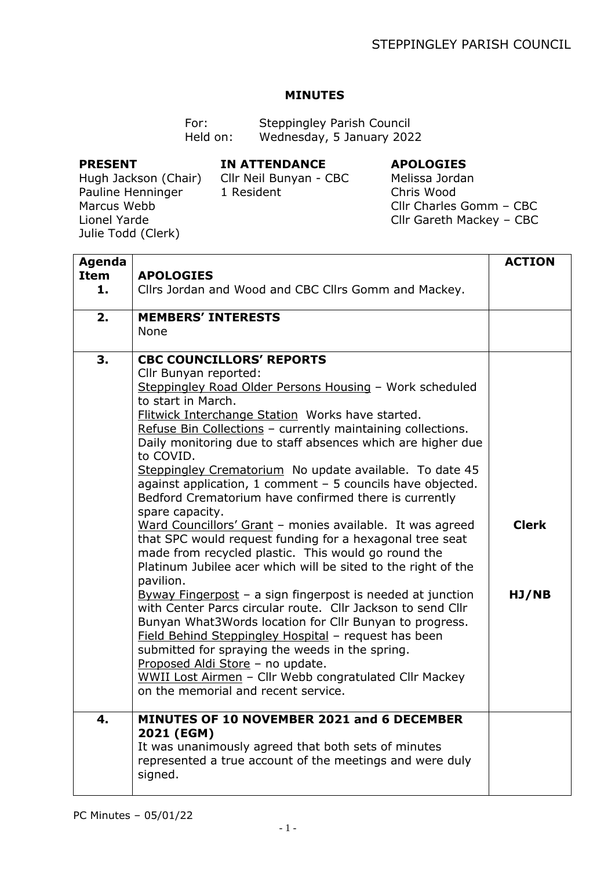## **MINUTES**

For: Steppingley Parish Council Held on: Wednesday, 5 January 2022

## **PRESENT**

## **IN ATTENDANCE**

## **APOLOGIES**

Hugh Jackson (Chair) Pauline Henninger Marcus Webb Lionel Yarde Julie Todd (Clerk)

Cllr Neil Bunyan - CBC 1 Resident

Melissa Jordan Chris Wood Cllr Charles Gomm – CBC Cllr Gareth Mackey – CBC

| <b>Agenda</b> |                                                               | <b>ACTION</b> |
|---------------|---------------------------------------------------------------|---------------|
| <b>Item</b>   | <b>APOLOGIES</b>                                              |               |
| 1.            | Cllrs Jordan and Wood and CBC Cllrs Gomm and Mackey.          |               |
| 2.            | <b>MEMBERS' INTERESTS</b>                                     |               |
|               | None                                                          |               |
|               |                                                               |               |
| 3.            | <b>CBC COUNCILLORS' REPORTS</b>                               |               |
|               | Cllr Bunyan reported:                                         |               |
|               | Steppingley Road Older Persons Housing - Work scheduled       |               |
|               | to start in March.                                            |               |
|               | <b>Flitwick Interchange Station Works have started.</b>       |               |
|               | Refuse Bin Collections - currently maintaining collections.   |               |
|               | Daily monitoring due to staff absences which are higher due   |               |
|               | to COVID.                                                     |               |
|               | Steppingley Crematorium No update available. To date 45       |               |
|               | against application, 1 comment - 5 councils have objected.    |               |
|               | Bedford Crematorium have confirmed there is currently         |               |
|               | spare capacity.                                               |               |
|               | Ward Councillors' Grant - monies available. It was agreed     | <b>Clerk</b>  |
|               | that SPC would request funding for a hexagonal tree seat      |               |
|               | made from recycled plastic. This would go round the           |               |
|               | Platinum Jubilee acer which will be sited to the right of the |               |
|               | pavilion.                                                     |               |
|               | Byway Fingerpost $-$ a sign fingerpost is needed at junction  | HJ/NB         |
|               | with Center Parcs circular route. Cllr Jackson to send Cllr   |               |
|               | Bunyan What3Words location for Cllr Bunyan to progress.       |               |
|               | Field Behind Steppingley Hospital - request has been          |               |
|               | submitted for spraying the weeds in the spring.               |               |
|               | Proposed Aldi Store - no update.                              |               |
|               | WWII Lost Airmen - Cllr Webb congratulated Cllr Mackey        |               |
|               | on the memorial and recent service.                           |               |
|               |                                                               |               |
| 4.            | <b>MINUTES OF 10 NOVEMBER 2021 and 6 DECEMBER</b>             |               |
|               | 2021 (EGM)                                                    |               |
|               | It was unanimously agreed that both sets of minutes           |               |
|               | represented a true account of the meetings and were duly      |               |
|               | signed.                                                       |               |
|               |                                                               |               |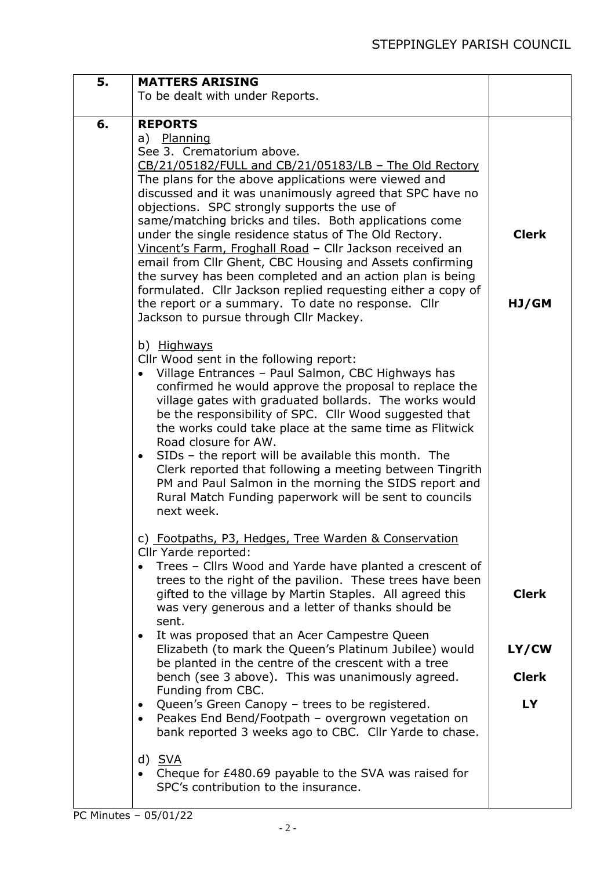| 5. | <b>MATTERS ARISING</b>                                                                                                                                                                                                                                                                                                                                                                                                                                                                                                                                                                                                                                                                                                                                          |                       |
|----|-----------------------------------------------------------------------------------------------------------------------------------------------------------------------------------------------------------------------------------------------------------------------------------------------------------------------------------------------------------------------------------------------------------------------------------------------------------------------------------------------------------------------------------------------------------------------------------------------------------------------------------------------------------------------------------------------------------------------------------------------------------------|-----------------------|
|    | To be dealt with under Reports.                                                                                                                                                                                                                                                                                                                                                                                                                                                                                                                                                                                                                                                                                                                                 |                       |
| 6. | <b>REPORTS</b><br>a) Planning<br>See 3. Crematorium above.<br>CB/21/05182/FULL and CB/21/05183/LB - The Old Rectory<br>The plans for the above applications were viewed and<br>discussed and it was unanimously agreed that SPC have no<br>objections. SPC strongly supports the use of<br>same/matching bricks and tiles. Both applications come<br>under the single residence status of The Old Rectory.<br>Vincent's Farm, Froghall Road - Cllr Jackson received an<br>email from Cllr Ghent, CBC Housing and Assets confirming<br>the survey has been completed and an action plan is being<br>formulated. Cllr Jackson replied requesting either a copy of<br>the report or a summary. To date no response. Cllr<br>Jackson to pursue through Cllr Mackey. | <b>Clerk</b><br>HJ/GM |
|    | b) Highways<br>Cllr Wood sent in the following report:<br>Village Entrances - Paul Salmon, CBC Highways has<br>confirmed he would approve the proposal to replace the<br>village gates with graduated bollards. The works would<br>be the responsibility of SPC. Cllr Wood suggested that<br>the works could take place at the same time as Flitwick<br>Road closure for AW.<br>SIDs - the report will be available this month. The<br>$\bullet$<br>Clerk reported that following a meeting between Tingrith<br>PM and Paul Salmon in the morning the SIDS report and<br>Rural Match Funding paperwork will be sent to councils<br>next week.                                                                                                                   |                       |
|    | c) Footpaths, P3, Hedges, Tree Warden & Conservation<br>Cllr Yarde reported:<br>Trees - Cllrs Wood and Yarde have planted a crescent of<br>trees to the right of the pavilion. These trees have been<br>gifted to the village by Martin Staples. All agreed this<br>was very generous and a letter of thanks should be<br>sent.                                                                                                                                                                                                                                                                                                                                                                                                                                 | <b>Clerk</b>          |
|    | It was proposed that an Acer Campestre Queen<br>$\bullet$<br>Elizabeth (to mark the Queen's Platinum Jubilee) would<br>be planted in the centre of the crescent with a tree<br>bench (see 3 above). This was unanimously agreed.<br>Funding from CBC.                                                                                                                                                                                                                                                                                                                                                                                                                                                                                                           | LY/CW<br><b>Clerk</b> |
|    | Queen's Green Canopy - trees to be registered.<br>٠<br>Peakes End Bend/Footpath - overgrown vegetation on<br>$\bullet$<br>bank reported 3 weeks ago to CBC. Cllr Yarde to chase.                                                                                                                                                                                                                                                                                                                                                                                                                                                                                                                                                                                | <b>LY</b>             |
|    | d) SVA<br>Cheque for £480.69 payable to the SVA was raised for<br>$\bullet$<br>SPC's contribution to the insurance.                                                                                                                                                                                                                                                                                                                                                                                                                                                                                                                                                                                                                                             |                       |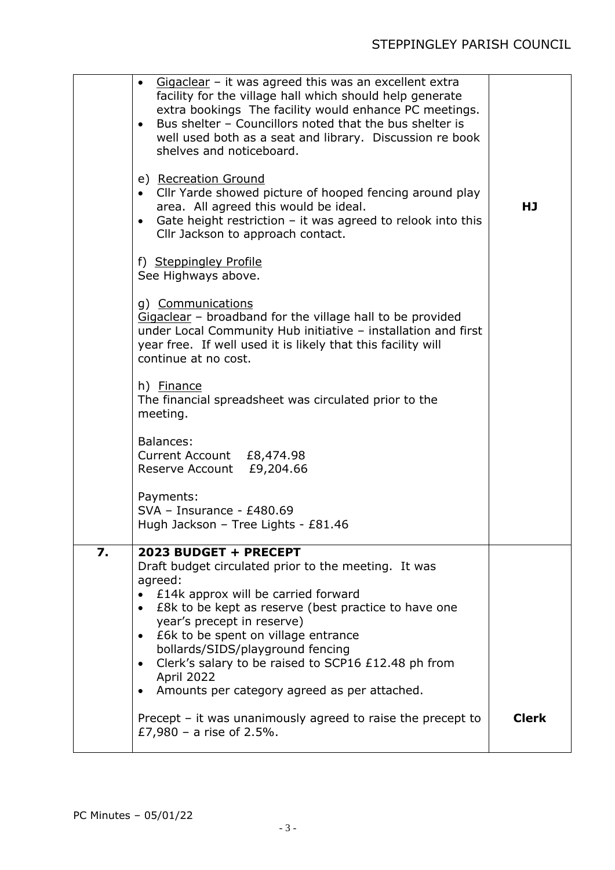|    | $Giqaclear$ – it was agreed this was an excellent extra<br>$\bullet$<br>facility for the village hall which should help generate<br>extra bookings The facility would enhance PC meetings.<br>Bus shelter - Councillors noted that the bus shelter is<br>$\bullet$<br>well used both as a seat and library. Discussion re book<br>shelves and noticeboard.<br>e) Recreation Ground<br>• Cllr Yarde showed picture of hooped fencing around play<br>area. All agreed this would be ideal.<br>Gate height restriction $-$ it was agreed to relook into this<br>$\bullet$<br>Cllr Jackson to approach contact.<br>f) Steppingley Profile | HJ           |
|----|---------------------------------------------------------------------------------------------------------------------------------------------------------------------------------------------------------------------------------------------------------------------------------------------------------------------------------------------------------------------------------------------------------------------------------------------------------------------------------------------------------------------------------------------------------------------------------------------------------------------------------------|--------------|
|    | See Highways above.<br>g) Communications<br>Gigaclear - broadband for the village hall to be provided<br>under Local Community Hub initiative - installation and first<br>year free. If well used it is likely that this facility will<br>continue at no cost.                                                                                                                                                                                                                                                                                                                                                                        |              |
|    | h) Finance<br>The financial spreadsheet was circulated prior to the<br>meeting.                                                                                                                                                                                                                                                                                                                                                                                                                                                                                                                                                       |              |
|    | Balances:<br>Current Account £8,474.98<br>Reserve Account £9,204.66                                                                                                                                                                                                                                                                                                                                                                                                                                                                                                                                                                   |              |
|    | Payments:<br>$SVA - Insurance - E480.69$<br>Hugh Jackson - Tree Lights - £81.46                                                                                                                                                                                                                                                                                                                                                                                                                                                                                                                                                       |              |
| 7. | 2023 BUDGET + PRECEPT<br>Draft budget circulated prior to the meeting. It was<br>agreed:<br>£14k approx will be carried forward<br>£8k to be kept as reserve (best practice to have one<br>$\bullet$<br>year's precept in reserve)<br>E6k to be spent on village entrance<br>$\bullet$<br>bollards/SIDS/playground fencing<br>Clerk's salary to be raised to SCP16 £12.48 ph from<br>$\bullet$<br>April 2022<br>Amounts per category agreed as per attached.<br>٠                                                                                                                                                                     |              |
|    | Precept $-$ it was unanimously agreed to raise the precept to<br>£7,980 - a rise of $2.5%$ .                                                                                                                                                                                                                                                                                                                                                                                                                                                                                                                                          | <b>Clerk</b> |